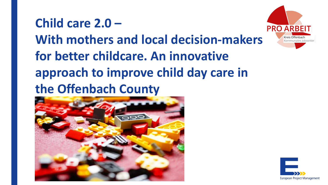# **Child care 2.0 – With mothers and local decision-makers for better childcare. An innovative approach to improve child day care in the Offenbach County**





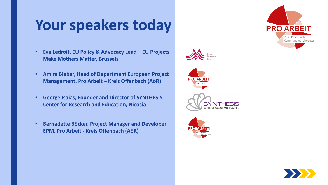## **Your speakers today**

- **Eva Ledroit, EU Policy & Advocacy Lead – EU Projects Make Mothers Matter, Brussels**
- **Amira Bieber, Head of Department European Project Management. Pro Arbeit – Kreis Offenbach (AöR)**
- **George Isaias, Founder and Director of SYNTHESIS Center for Research and Education, Nicosia**
- **Bernadette Böcker, Project Manager and Developer EPM, Pro Arbeit - Kreis Offenbach (AöR)**











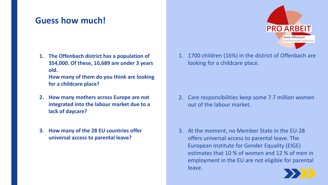### **Guess how much!**

**1. The Offenbach district has a population of 354,000. Of these, 10,689 are under 3 years old.** 

**How many of them do you think are looking for a childcare place?**

- **2. How many mothers across Europe are not integrated into the labour market due to a lack of daycare?**
- **3. How many of the 28 EU countries offer universal access to parental leave?**



1. 1700 children (16%) in the district of Offenbach are looking for a childcare place.

2. Care responsibilities keep some 7.7 million women out of the labour market.

3. At the moment, no Member State in the EU-28 offers universal access to parental leave. The European Institute for Gender Equality (EIGE) estimates that 10 % of women and 12 % of men in employment in the EU are not eligible for parental leave.

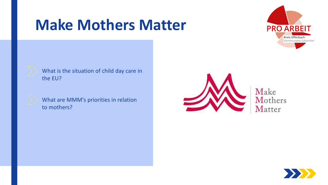# **Make Mothers Matter**



What is the situation of child day care in the EU?



What are MMM's priorities in relation to mothers?



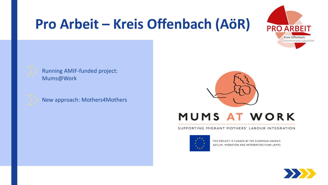## **Pro Arbeit – Kreis Offenbach (AöR)**



Running AMIF-funded project: Mums@Work

New approach: Mothers4Mothers



### MUMS AT WORK

SUPPORTING MIGRANT MOTHERS' LABOUR INTEGRATION



THIS PROJECT IS FUNDED BY THE EUROPEAN UNION'S ASYLUM, MIGRATION AND INTEGRATION FUND (AMIF)

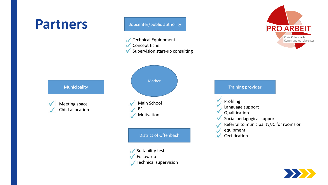### **Partners**

Jobcenter/public authority

- **Technical Equiopment** 
	- Concept fiche
- Supervision start-up consulting









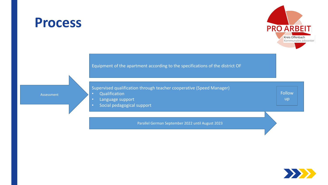

Follow up

### **Process**

Equipment of the apartment according to the specifications of the district OF

Assessment

Supervised qualification through teacher cooperative (Speed Manager)

- Qualification
- Language support
- Social pedagogical support

Parallel German September 2022 until August 2023

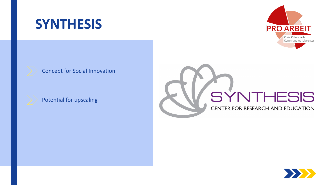



#### Concept for Social Innovation



#### Potential for upscaling



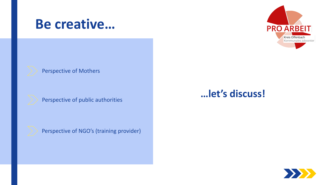### **Be creative…**



#### Perspective of Mothers



Perspective of public authorities



Perspective of NGO's (training provider)

### **…let's discuss!**